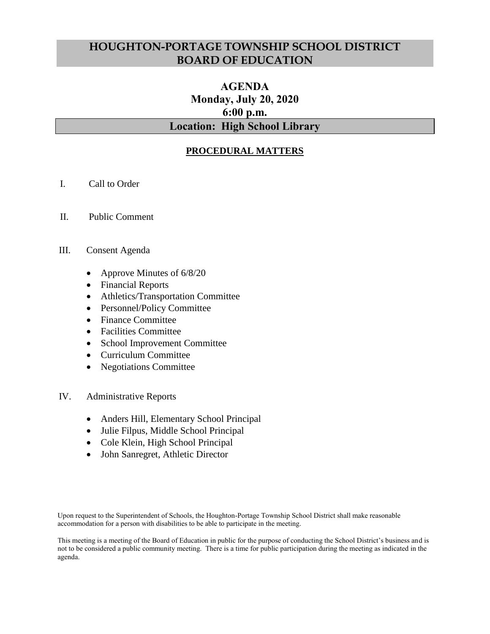# **HOUGHTON-PORTAGE TOWNSHIP SCHOOL DISTRICT BOARD OF EDUCATION**

# **AGENDA Monday, July 20, 2020 6:00 p.m. Location: High School Library**

### **PROCEDURAL MATTERS**

- I. Call to Order
- II. Public Comment
- III. Consent Agenda
	- Approve Minutes of 6/8/20
	- Financial Reports
	- Athletics/Transportation Committee
	- Personnel/Policy Committee
	- Finance Committee
	- Facilities Committee
	- School Improvement Committee
	- Curriculum Committee
	- Negotiations Committee
- IV. Administrative Reports
	- Anders Hill, Elementary School Principal
	- Julie Filpus, Middle School Principal
	- Cole Klein, High School Principal
	- John Sanregret, Athletic Director

Upon request to the Superintendent of Schools, the Houghton-Portage Township School District shall make reasonable accommodation for a person with disabilities to be able to participate in the meeting.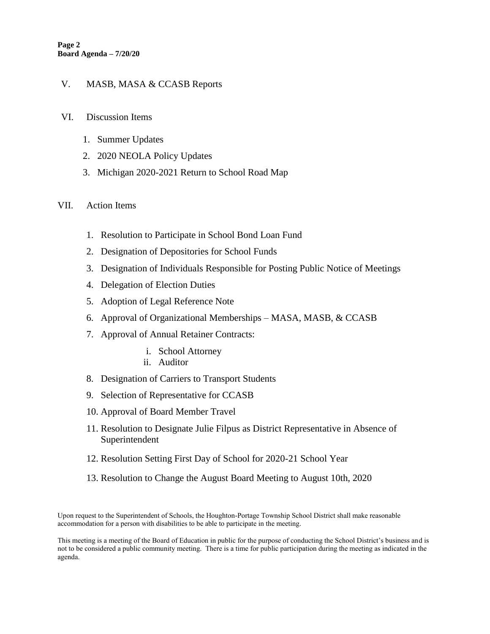### V. MASB, MASA & CCASB Reports

### VI. Discussion Items

- 1. Summer Updates
- 2. 2020 NEOLA Policy Updates
- 3. Michigan 2020-2021 Return to School Road Map

#### VII. Action Items

- 1. Resolution to Participate in School Bond Loan Fund
- 2. Designation of Depositories for School Funds
- 3. Designation of Individuals Responsible for Posting Public Notice of Meetings
- 4. Delegation of Election Duties
- 5. Adoption of Legal Reference Note
- 6. Approval of Organizational Memberships MASA, MASB, & CCASB
- 7. Approval of Annual Retainer Contracts:
	- i. School Attorney
	- ii. Auditor
- 8. Designation of Carriers to Transport Students
- 9. Selection of Representative for CCASB
- 10. Approval of Board Member Travel
- 11. Resolution to Designate Julie Filpus as District Representative in Absence of Superintendent
- 12. Resolution Setting First Day of School for 2020-21 School Year
- 13. Resolution to Change the August Board Meeting to August 10th, 2020

Upon request to the Superintendent of Schools, the Houghton-Portage Township School District shall make reasonable accommodation for a person with disabilities to be able to participate in the meeting.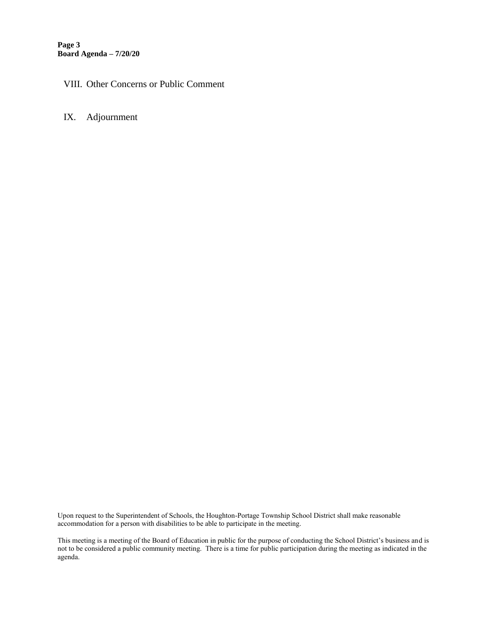**Page 3 Board Agenda – 7/20/20**

### VIII. Other Concerns or Public Comment

### IX. Adjournment

Upon request to the Superintendent of Schools, the Houghton-Portage Township School District shall make reasonable accommodation for a person with disabilities to be able to participate in the meeting.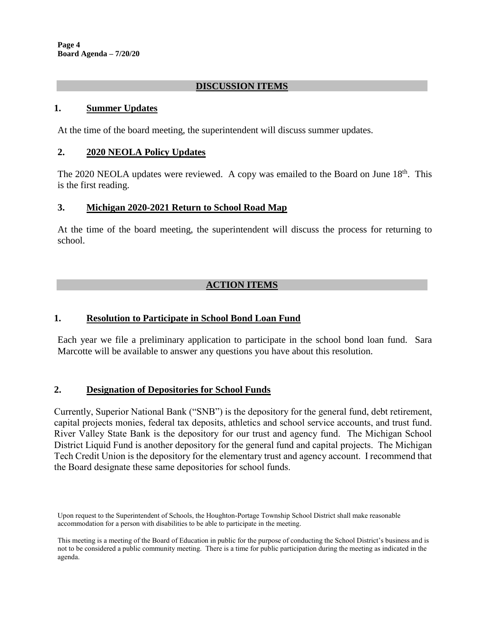**Page 4 Board Agenda – 7/20/20**

### **DISCUSSION ITEMS**

#### **1. Summer Updates**

At the time of the board meeting, the superintendent will discuss summer updates.

#### **2. 2020 NEOLA Policy Updates**

The 2020 NEOLA updates were reviewed. A copy was emailed to the Board on June  $18<sup>th</sup>$ . This is the first reading.

#### **3. Michigan 2020-2021 Return to School Road Map**

At the time of the board meeting, the superintendent will discuss the process for returning to school.

### **ACTION ITEMS**

### **1. Resolution to Participate in School Bond Loan Fund**

Each year we file a preliminary application to participate in the school bond loan fund. Sara Marcotte will be available to answer any questions you have about this resolution.

#### **2. Designation of Depositories for School Funds**

Currently, Superior National Bank ("SNB") is the depository for the general fund, debt retirement, capital projects monies, federal tax deposits, athletics and school service accounts, and trust fund. River Valley State Bank is the depository for our trust and agency fund. The Michigan School District Liquid Fund is another depository for the general fund and capital projects. The Michigan Tech Credit Union is the depository for the elementary trust and agency account. I recommend that the Board designate these same depositories for school funds.

Upon request to the Superintendent of Schools, the Houghton-Portage Township School District shall make reasonable accommodation for a person with disabilities to be able to participate in the meeting.

This meeting is a meeting of the Board of Education in public for the purpose of conducting the School District's business and is not to be considered a public community meeting. There is a time for public participation during the meeting as indicated in the agenda.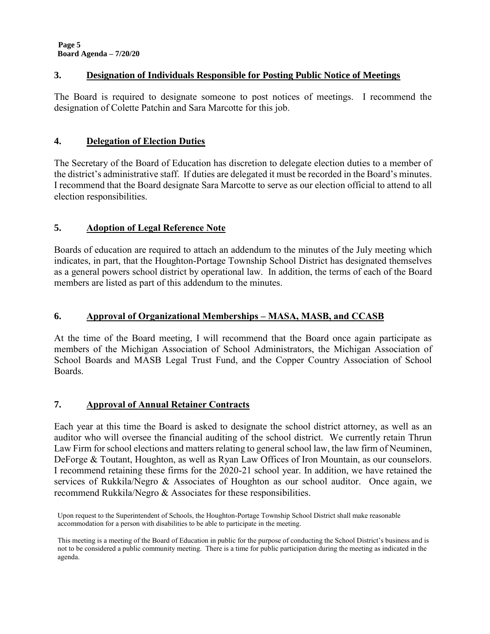### **3. Designation of Individuals Responsible for Posting Public Notice of Meetings**

The Board is required to designate someone to post notices of meetings. I recommend the designation of Colette Patchin and Sara Marcotte for this job.

### **4. Delegation of Election Duties**

The Secretary of the Board of Education has discretion to delegate election duties to a member of the district's administrative staff. If duties are delegated it must be recorded in the Board's minutes. I recommend that the Board designate Sara Marcotte to serve as our election official to attend to all election responsibilities.

# **5. Adoption of Legal Reference Note**

Boards of education are required to attach an addendum to the minutes of the July meeting which indicates, in part, that the Houghton-Portage Township School District has designated themselves as a general powers school district by operational law. In addition, the terms of each of the Board members are listed as part of this addendum to the minutes.

### **6. Approval of Organizational Memberships – MASA, MASB, and CCASB**

At the time of the Board meeting, I will recommend that the Board once again participate as members of the Michigan Association of School Administrators, the Michigan Association of School Boards and MASB Legal Trust Fund, and the Copper Country Association of School Boards.

# **7. Approval of Annual Retainer Contracts**

Each year at this time the Board is asked to designate the school district attorney, as well as an auditor who will oversee the financial auditing of the school district. We currently retain Thrun Law Firm for school elections and matters relating to general school law, the law firm of Neuminen, DeForge & Toutant, Houghton, as well as Ryan Law Offices of Iron Mountain, as our counselors. I recommend retaining these firms for the 2020-21 school year. In addition, we have retained the services of Rukkila/Negro & Associates of Houghton as our school auditor. Once again, we recommend Rukkila/Negro & Associates for these responsibilities.

Upon request to the Superintendent of Schools, the Houghton-Portage Township School District shall make reasonable accommodation for a person with disabilities to be able to participate in the meeting.